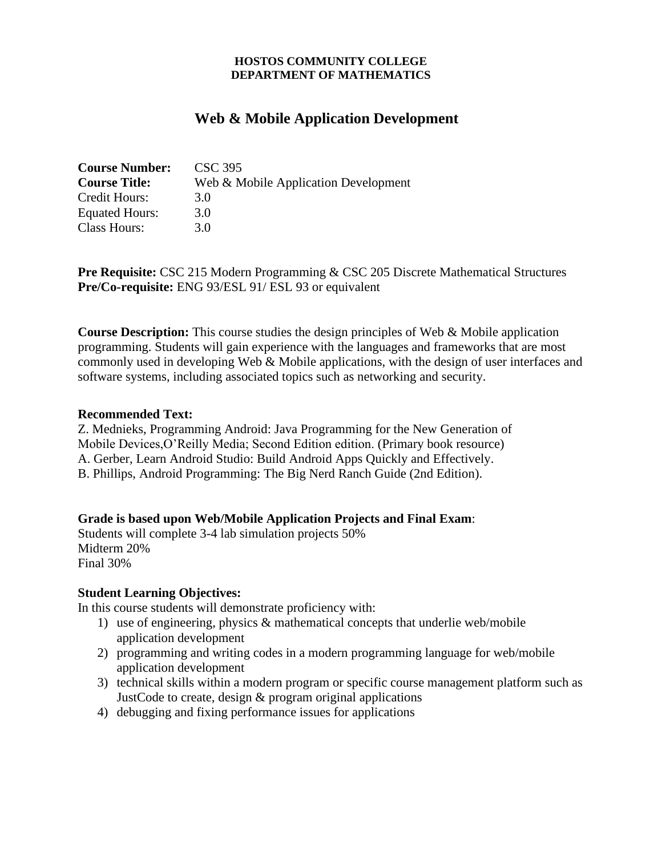#### **HOSTOS COMMUNITY COLLEGE DEPARTMENT OF MATHEMATICS**

# **Web & Mobile Application Development**

| <b>Course Number:</b> | CSC 395                              |
|-----------------------|--------------------------------------|
| <b>Course Title:</b>  | Web & Mobile Application Development |
| Credit Hours:         | 3.0                                  |
| Equated Hours:        | 3.0                                  |
| Class Hours:          | 3 O                                  |

**Pre Requisite:** CSC 215 Modern Programming & CSC 205 Discrete Mathematical Structures **Pre/Co-requisite:** ENG 93/ESL 91/ ESL 93 or equivalent

**Course Description:** This course studies the design principles of Web & Mobile application programming. Students will gain experience with the languages and frameworks that are most commonly used in developing Web & Mobile applications, with the design of user interfaces and software systems, including associated topics such as networking and security.

#### **Recommended Text:**

Z. Mednieks, Programming Android: Java Programming for the New Generation of Mobile Devices,O'Reilly Media; Second Edition edition. (Primary book resource) A. Gerber, Learn Android Studio: Build Android Apps Quickly and Effectively. B. Phillips, Android Programming: The Big Nerd Ranch Guide (2nd Edition).

### **Grade is based upon Web/Mobile Application Projects and Final Exam**:

Students will complete 3-4 lab simulation projects 50% Midterm 20% Final 30%

### **Student Learning Objectives:**

In this course students will demonstrate proficiency with:

- 1) use of engineering, physics & mathematical concepts that underlie web/mobile application development
- 2) programming and writing codes in a modern programming language for web/mobile application development
- 3) technical skills within a modern program or specific course management platform such as JustCode to create, design & program original applications
- 4) debugging and fixing performance issues for applications